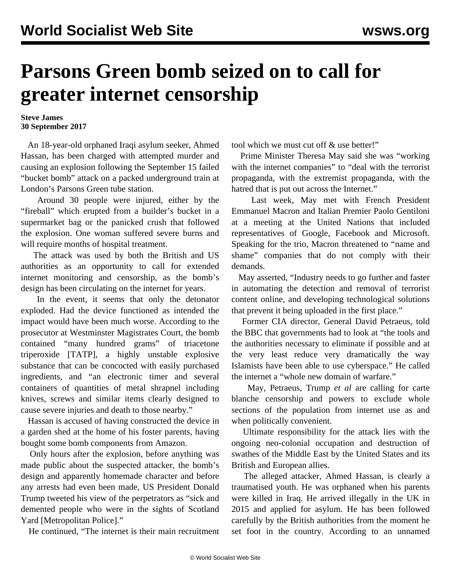## **Parsons Green bomb seized on to call for greater internet censorship**

## **Steve James 30 September 2017**

 An 18-year-old orphaned Iraqi asylum seeker, Ahmed Hassan, has been charged with attempted murder and causing an explosion following the September 15 failed "bucket bomb" attack on a packed underground train at London's Parsons Green tube station.

 Around 30 people were injured, either by the "fireball" which erupted from a builder's bucket in a supermarket bag or the panicked crush that followed the explosion. One woman suffered severe burns and will require months of hospital treatment.

 The attack was used by both the British and US authorities as an opportunity to call for extended internet monitoring and censorship, as the bomb's design has been circulating on the internet for years.

 In the event, it seems that only the detonator exploded. Had the device functioned as intended the impact would have been much worse. According to the prosecutor at Westminster Magistrates Court, the bomb contained "many hundred grams" of triacetone triperoxide [TATP], a highly unstable explosive substance that can be concocted with easily purchased ingredients, and "an electronic timer and several containers of quantities of metal shrapnel including knives, screws and similar items clearly designed to cause severe injuries and death to those nearby."

 Hassan is accused of having constructed the device in a garden shed at the home of his foster parents, having bought some bomb components from Amazon.

 Only hours after the explosion, before anything was made public about the suspected attacker, the bomb's design and apparently homemade character and before any arrests had even been made, US President Donald Trump tweeted his view of the perpetrators as "sick and demented people who were in the sights of Scotland Yard [Metropolitan Police]."

He continued, "The internet is their main recruitment

tool which we must cut off & use better!"

 Prime Minister Theresa May said she was "working with the internet companies" to "deal with the terrorist propaganda, with the extremist propaganda, with the hatred that is put out across the Internet."

 Last week, May met with French President Emmanuel Macron and Italian Premier Paolo Gentiloni at a meeting at the United Nations that included representatives of Google, Facebook and Microsoft. Speaking for the trio, Macron threatened to "name and shame" companies that do not comply with their demands.

 May asserted, "Industry needs to go further and faster in automating the detection and removal of terrorist content online, and developing technological solutions that prevent it being uploaded in the first place."

 Former CIA director, General David Petraeus, told the BBC that governments had to look at "the tools and the authorities necessary to eliminate if possible and at the very least reduce very dramatically the way Islamists have been able to use cyberspace." He called the internet a "whole new domain of warfare."

 May, Petraeus, Trump *et al* are calling for carte blanche censorship and powers to exclude whole sections of the population from internet use as and when politically convenient.

 Ultimate responsibility for the attack lies with the ongoing neo-colonial occupation and destruction of swathes of the Middle East by the United States and its British and European allies.

 The alleged attacker, Ahmed Hassan, is clearly a traumatised youth. He was orphaned when his parents were killed in Iraq. He arrived illegally in the UK in 2015 and applied for asylum. He has been followed carefully by the British authorities from the moment he set foot in the country. According to an unnamed